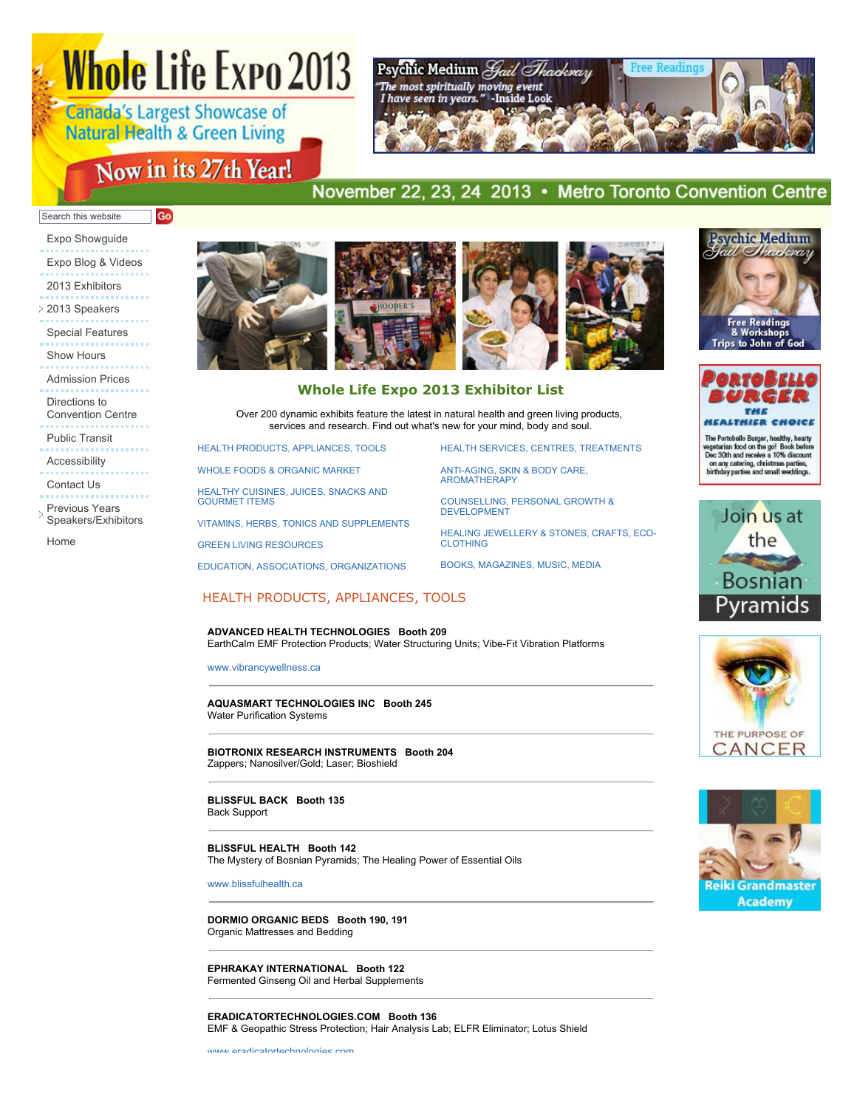# **Whole Life Expo 2013**

**Canada's Largest Showcase of Natural Health & Green Living** 

# Now in its 27th Year!



# November 22, 23, 24 2013 • Metro Toronto Convention Centre

#### Go) Search this website

- [Expo Showguide](http://www.wholelifeexpo.ca/WLE_showguide2013.pdf) [Expo Blog & Videos](http://blog.wholelifecanada.com/) [2013 Exhibitors](http://www.wholelifeexpo.ca/exhibitors.php)
- [2013 Speakers](javascript:void(0);) [Special Features](http://www.wholelifeexpo.ca/features.php)
- [Show Hours](http://www.wholelifeexpo.ca/hours.php)
- 
- [Admission Prices](http://www.wholelifeexpo.ca/hours.php#prices)
- Directions to [Convention Centre](http://www.wholelifeexpo.ca/hours.php#directions)
- 
- [Public Transit](http://www.wholelifeexpo.ca/hours.php#publicTransit)
- [Accessibility](http://www.wholelifeexpo.ca/hours.php#accessibility)
- 
- [Contact Us](http://www.wholelifeexpo.ca/contact.php)
- Previous Years [Speakers/Exhibitors](javascript:void(0);)
- [Home](http://www.wholelifeexpo.ca/index.php)



# **Whole Life Expo 2013 Exhibitor List**

Over 200 dynamic exhibits feature the latest in natural health and green living products, services and research. Find out what's new for your mind, body and soul.

[HEALTH PRODUCTS, APPLIANCES, TOOLS](http://www.wholelifeexpo.ca/exhibitors.php#11)

[WHOLE FOODS & ORGANIC MARKET](http://www.wholelifeexpo.ca/exhibitors.php#12)

[HEALTHY CUISINES, JUICES, SNACKS AND](http://www.wholelifeexpo.ca/exhibitors.php#13) GOURMET ITEMS

[VITAMINS, HERBS, TONICS AND SUPPLEMENTS](http://www.wholelifeexpo.ca/exhibitors.php#14)

[GREEN LIVING RESOURCES](http://www.wholelifeexpo.ca/exhibitors.php#15)

[EDUCATION, ASSOCIATIONS, ORGANIZATIONS](http://www.wholelifeexpo.ca/exhibitors.php#17)

[HEALTH SERVICES, CENTRES, TREATMENTS](http://www.wholelifeexpo.ca/exhibitors.php#18)

[ANTI-AGING, SKIN & BODY CARE,](http://www.wholelifeexpo.ca/exhibitors.php#19) AROMATHERAPY

[COUNSELLING, PERSONAL GROWTH &](http://www.wholelifeexpo.ca/exhibitors.php#20) DEVELOPMENT

[HEALING JEWELLERY & STONES, CRAFTS, ECO-](http://www.wholelifeexpo.ca/exhibitors.php#21)**CLOTHING** 

[BOOKS, MAGAZINES, MUSIC, MEDIA](http://www.wholelifeexpo.ca/exhibitors.php#22)

# HEALTH PRODUCTS, APPLIANCES, TOOLS

**ADVANCED HEALTH TECHNOLOGIES Booth 209** EarthCalm EMF Protection Products; Water Structuring Units; Vibe-Fit Vibration Platforms

[www.vibrancywellness.ca](http://www.vibrancywellness.ca/)

**AQUASMART TECHNOLOGIES INC Booth 245** Water Purification Systems

**BIOTRONIX RESEARCH INSTRUMENTS Booth 204** Zappers; Nanosilver/Gold; Laser; Bioshield

**BLISSFUL BACK Booth 135** Back Support

**BLISSFUL HEALTH Booth 142** The Mystery of Bosnian Pyramids; The Healing Power of Essential Oils

[www.blissfulhealth.ca](http://www.blissfulhealth.ca/)

**DORMIO ORGANIC BEDS Booth 190, 191** Organic Mattresses and Bedding

**EPHRAKAY INTERNATIONAL Booth 122** Fermented Ginseng Oil and Herbal Supplements

**ERADICATORTECHNOLOGIES.COM Booth 136** EMF & Geopathic Stress Protection; Hair Analysis Lab; ELFR Eliminator; Lotus Shield





The Portobello Burger, healthy, hearly<br>vegetsrian food on the go! Book before<br>Dec 30th and receive a 10% discount<br>on any catering, christmas parties,<br>birthday parties and small weddings.





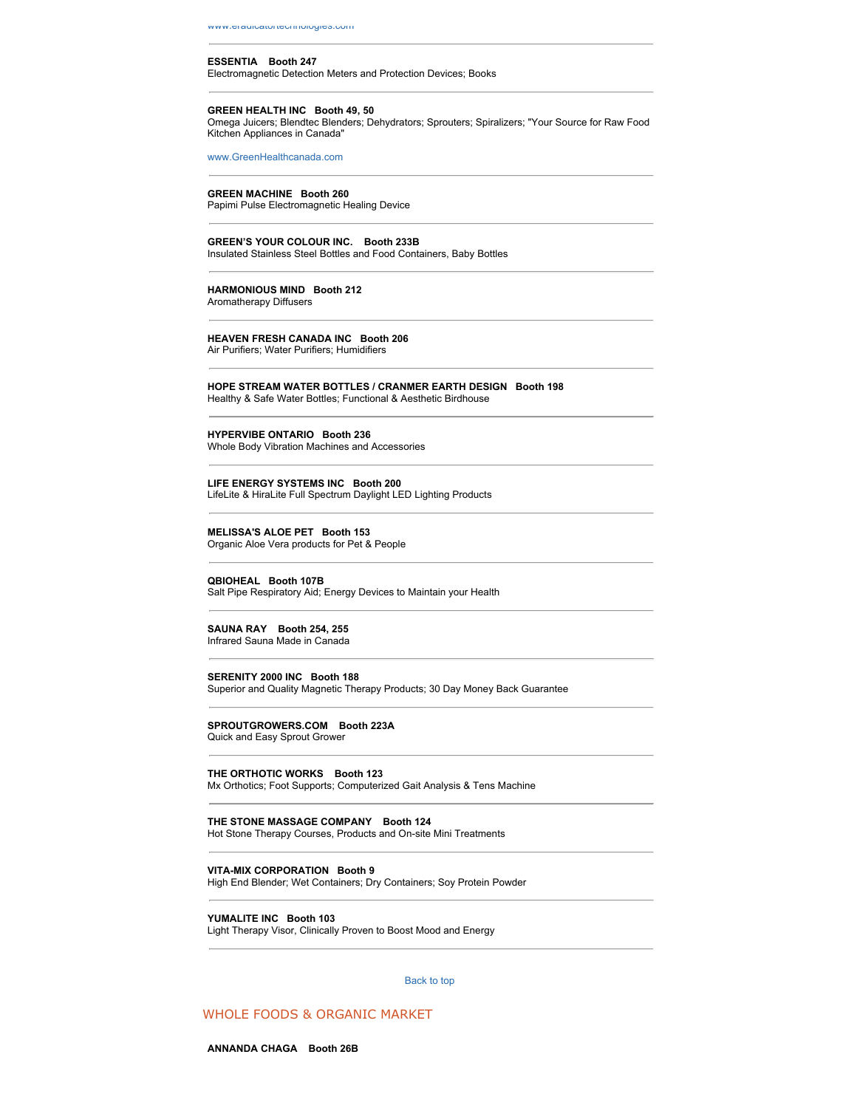#### **ESSENTIA Booth 247**

Electromagnetic Detection Meters and Protection Devices; Books

#### **GREEN HEALTH INC Booth 49, 50**

Omega Juicers; Blendtec Blenders; Dehydrators; Sprouters; Spiralizers; "Your Source for Raw Food Kitchen Appliances in Canada"

[www.GreenHealthcanada.com](http://www.GreenHealthcanada.com/)

#### **GREEN MACHINE Booth 260**

Papimi Pulse Electromagnetic Healing Device

**GREEN'S YOUR COLOUR INC. Booth 233B** Insulated Stainless Steel Bottles and Food Containers, Baby Bottles

# **HARMONIOUS MIND Booth 212**

Aromatherapy Diffusers

#### **HEAVEN FRESH CANADA INC Booth 206**

Air Purifiers; Water Purifiers; Humidifiers

#### **HOPE STREAM WATER BOTTLES / CRANMER EARTH DESIGN Booth 198** Healthy & Safe Water Bottles; Functional & Aesthetic Birdhouse

#### **HYPERVIBE ONTARIO Booth 236**

Whole Body Vibration Machines and Accessories

#### **LIFE ENERGY SYSTEMS INC Booth 200**

LifeLite & HiraLite Full Spectrum Daylight LED Lighting Products

#### **MELISSA'S ALOE PET Booth 153**

Organic Aloe Vera products for Pet & People

#### **QBIOHEAL Booth 107B**

Salt Pipe Respiratory Aid; Energy Devices to Maintain your Health

#### **SAUNA RAY Booth 254, 255** Infrared Sauna Made in Canada

**SERENITY 2000 INC Booth 188** Superior and Quality Magnetic Therapy Products; 30 Day Money Back Guarantee

#### **SPROUTGROWERS.COM Booth 223A** Quick and Easy Sprout Grower

## **THE ORTHOTIC WORKS Booth 123**

Mx Orthotics; Foot Supports; Computerized Gait Analysis & Tens Machine

#### **THE STONE MASSAGE COMPANY Booth 124**

Hot Stone Therapy Courses, Products and On-site Mini Treatments

#### **VITA-MIX CORPORATION Booth 9**

High End Blender; Wet Containers; Dry Containers; Soy Protein Powder

#### **YUMALITE INC Booth 103**

Light Therapy Visor, Clinically Proven to Boost Mood and Energy

#### [Back to top](http://www.wholelifeexpo.ca/exhibitors.php#top)

# WHOLE FOODS & ORGANIC MARKET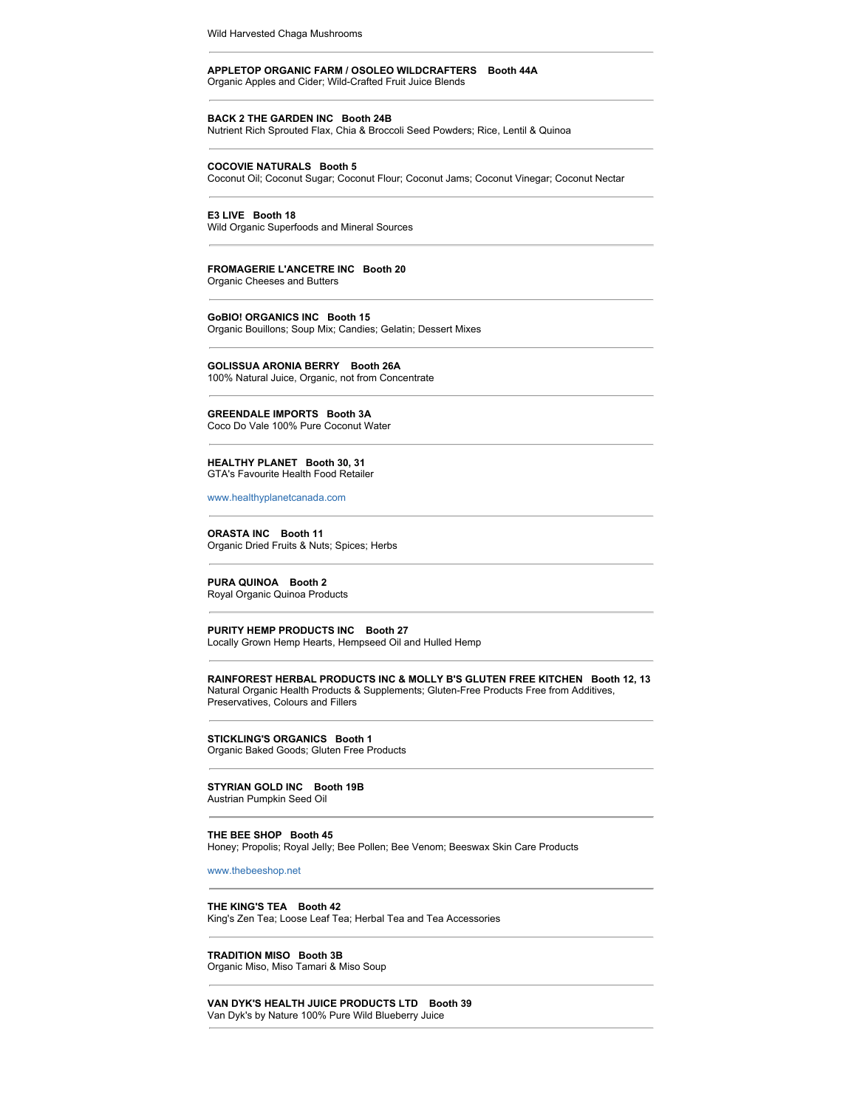Wild Harvested Chaga Mushrooms

#### **APPLETOP ORGANIC FARM / OSOLEO WILDCRAFTERS Booth 44A** Organic Apples and Cider; Wild-Crafted Fruit Juice Blends

#### **BACK 2 THE GARDEN INC Booth 24B**

Nutrient Rich Sprouted Flax, Chia & Broccoli Seed Powders; Rice, Lentil & Quinoa

#### **COCOVIE NATURALS Booth 5**

Coconut Oil; Coconut Sugar; Coconut Flour; Coconut Jams; Coconut Vinegar; Coconut Nectar

#### **E3 LIVE Booth 18**

Wild Organic Superfoods and Mineral Sources

#### **FROMAGERIE L'ANCETRE INC Booth 20**

Organic Cheeses and Butters

#### **GoBIO! ORGANICS INC Booth 15**

Organic Bouillons; Soup Mix; Candies; Gelatin; Dessert Mixes

#### **GOLISSUA ARONIA BERRY Booth 26A**

100% Natural Juice, Organic, not from Concentrate

#### **GREENDALE IMPORTS Booth 3A**

Coco Do Vale 100% Pure Coconut Water

#### **HEALTHY PLANET Booth 30, 31** GTA's Favourite Health Food Retailer

[www.healthyplanetcanada.com](http://www.healthyplanetcanada.com/)

#### **ORASTA INC Booth 11** Organic Dried Fruits & Nuts; Spices; Herbs

**PURA QUINOA Booth 2** Royal Organic Quinoa Products

#### **PURITY HEMP PRODUCTS INC Booth 27** Locally Grown Hemp Hearts, Hempseed Oil and Hulled Hemp

**RAINFOREST HERBAL PRODUCTS INC & MOLLY B'S GLUTEN FREE KITCHEN Booth 12, 13** Natural Organic Health Products & Supplements; Gluten-Free Products Free from Additives, Preservatives, Colours and Fillers

#### **STICKLING'S ORGANICS Booth 1** Organic Baked Goods; Gluten Free Products

#### **STYRIAN GOLD INC Booth 19B** Austrian Pumpkin Seed Oil

# **THE BEE SHOP Booth 45**

Honey; Propolis; Royal Jelly; Bee Pollen; Bee Venom; Beeswax Skin Care Products

#### [www.thebeeshop.net](http://www.thebeeshop.net/)

**THE KING'S TEA Booth 42** King's Zen Tea; Loose Leaf Tea; Herbal Tea and Tea Accessories

**TRADITION MISO Booth 3B** Organic Miso, Miso Tamari & Miso Soup

#### **VAN DYK'S HEALTH JUICE PRODUCTS LTD Booth 39** Van Dyk's by Nature 100% Pure Wild Blueberry Juice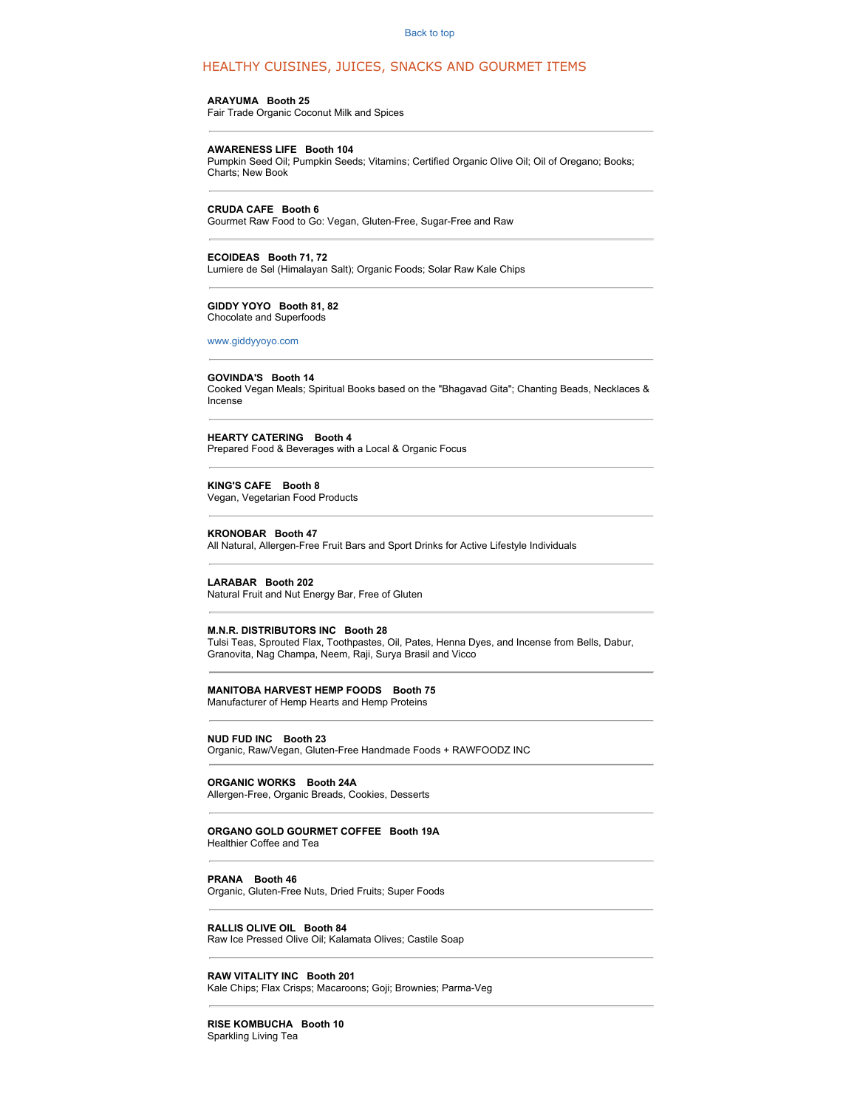## HEALTHY CUISINES, JUICES, SNACKS AND GOURMET ITEMS

#### **ARAYUMA Booth 25**

Fair Trade Organic Coconut Milk and Spices

#### **AWARENESS LIFE Booth 104**

Pumpkin Seed Oil; Pumpkin Seeds; Vitamins; Certified Organic Olive Oil; Oil of Oregano; Books; Charts; New Book

#### **CRUDA CAFE Booth 6**

Gourmet Raw Food to Go: Vegan, Gluten-Free, Sugar-Free and Raw

**ECOIDEAS Booth 71, 72** Lumiere de Sel (Himalayan Salt); Organic Foods; Solar Raw Kale Chips

#### **GIDDY YOYO Booth 81, 82** Chocolate and Superfoods

[www.giddyyoyo.com](http://www.giddyyoyo.com/)

#### **GOVINDA'S Booth 14**

Cooked Vegan Meals; Spiritual Books based on the "Bhagavad Gita"; Chanting Beads, Necklaces & Incense

**HEARTY CATERING Booth 4** Prepared Food & Beverages with a Local & Organic Focus

# **KING'S CAFE Booth 8**

Vegan, Vegetarian Food Products

#### **KRONOBAR Booth 47**

All Natural, Allergen-Free Fruit Bars and Sport Drinks for Active Lifestyle Individuals

#### **LARABAR Booth 202**

Natural Fruit and Nut Energy Bar, Free of Gluten

#### **M.N.R. DISTRIBUTORS INC Booth 28**

Tulsi Teas, Sprouted Flax, Toothpastes, Oil, Pates, Henna Dyes, and Incense from Bells, Dabur, Granovita, Nag Champa, Neem, Raji, Surya Brasil and Vicco

#### **MANITOBA HARVEST HEMP FOODS Booth 75**

Manufacturer of Hemp Hearts and Hemp Proteins

#### **NUD FUD INC Booth 23**

Organic, Raw/Vegan, Gluten-Free Handmade Foods + RAWFOODZ INC

#### **ORGANIC WORKS Booth 24A**

Allergen-Free, Organic Breads, Cookies, Desserts

#### **ORGANO GOLD GOURMET COFFEE Booth 19A**

Healthier Coffee and Tea

#### **PRANA Booth 46**

Organic, Gluten-Free Nuts, Dried Fruits; Super Foods

#### **RALLIS OLIVE OIL Booth 84**

Raw Ice Pressed Olive Oil; Kalamata Olives; Castile Soap

### **RAW VITALITY INC Booth 201**

Kale Chips; Flax Crisps; Macaroons; Goji; Brownies; Parma-Veg

**RISE KOMBUCHA Booth 10** Sparkling Living Tea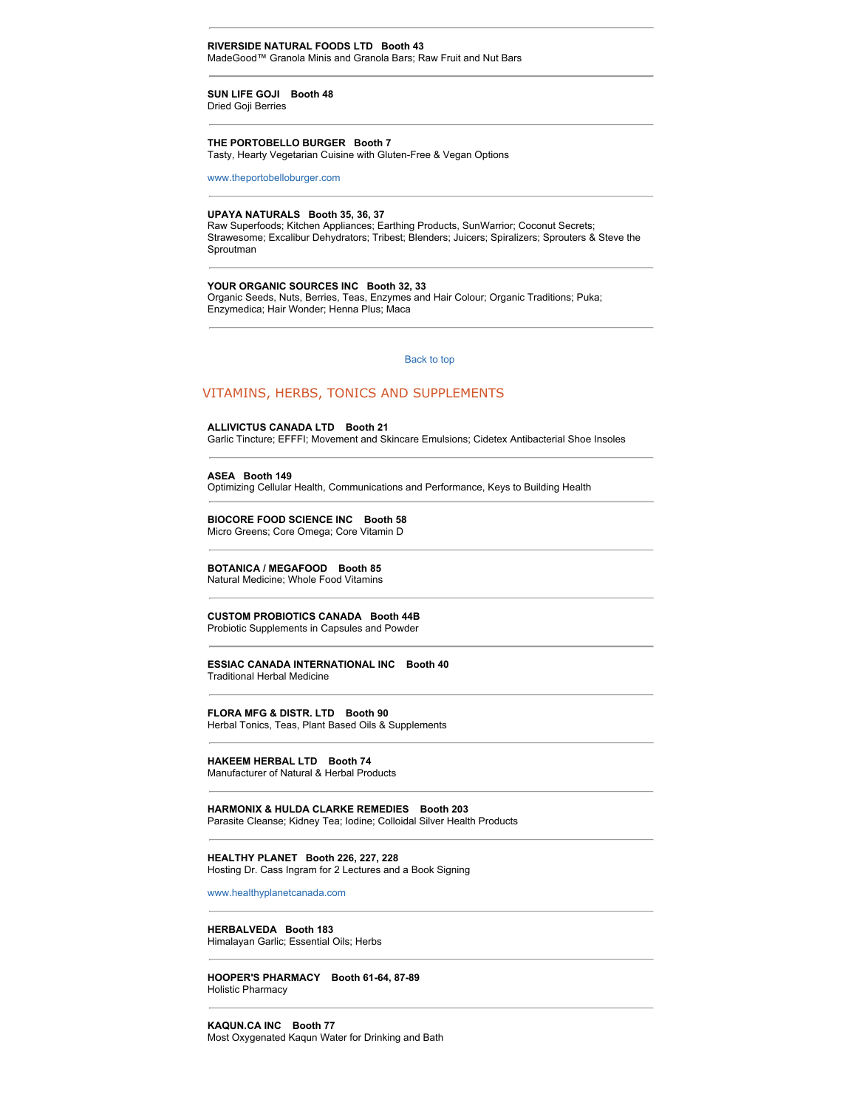#### **RIVERSIDE NATURAL FOODS LTD Booth 43** MadeGood™ Granola Minis and Granola Bars; Raw Fruit and Nut Bars

#### **SUN LIFE GOJI Booth 48** Dried Goji Berries

#### **THE PORTOBELLO BURGER Booth 7**

Tasty, Hearty Vegetarian Cuisine with Gluten-Free & Vegan Options

[www.theportobelloburger.com](http://www.theportobelloburger.com/)

#### **UPAYA NATURALS Booth 35, 36, 37**

Raw Superfoods; Kitchen Appliances; Earthing Products, SunWarrior; Coconut Secrets; Strawesome; Excalibur Dehydrators; Tribest; Blenders; Juicers; Spiralizers; Sprouters & Steve the Sproutman

#### **YOUR ORGANIC SOURCES INC Booth 32, 33**

Organic Seeds, Nuts, Berries, Teas, Enzymes and Hair Colour; Organic Traditions; Puka; Enzymedica; Hair Wonder; Henna Plus; Maca

#### [Back to top](http://www.wholelifeexpo.ca/exhibitors.php#top)

#### VITAMINS, HERBS, TONICS AND SUPPLEMENTS

#### **ALLIVICTUS CANADA LTD Booth 21**

Garlic Tincture; EFFFI; Movement and Skincare Emulsions; Cidetex Antibacterial Shoe Insoles

#### **ASEA Booth 149**

Optimizing Cellular Health, Communications and Performance, Keys to Building Health

#### **BIOCORE FOOD SCIENCE INC Booth 58** Micro Greens; Core Omega; Core Vitamin D

#### **BOTANICA / MEGAFOOD Booth 85**

Natural Medicine; Whole Food Vitamins

# **CUSTOM PROBIOTICS CANADA Booth 44B**

Probiotic Supplements in Capsules and Powder

#### **ESSIAC CANADA INTERNATIONAL INC Booth 40** Traditional Herbal Medicine

#### **FLORA MFG & DISTR. LTD Booth 90** Herbal Tonics, Teas, Plant Based Oils & Supplements

# **HAKEEM HERBAL LTD Booth 74**

Manufacturer of Natural & Herbal Products

# **HARMONIX & HULDA CLARKE REMEDIES Booth 203**

Parasite Cleanse; Kidney Tea; Iodine; Colloidal Silver Health Products

#### **HEALTHY PLANET Booth 226, 227, 228**

Hosting Dr. Cass Ingram for 2 Lectures and a Book Signing

[www.healthyplanetcanada.com](http://www.healthyplanetcanada.com/)

#### **HERBALVEDA Booth 183** Himalayan Garlic; Essential Oils; Herbs

**HOOPER'S PHARMACY Booth 61-64, 87-89** Holistic Pharmacy

#### **KAQUN.CA INC Booth 77**

Most Oxygenated Kaqun Water for Drinking and Bath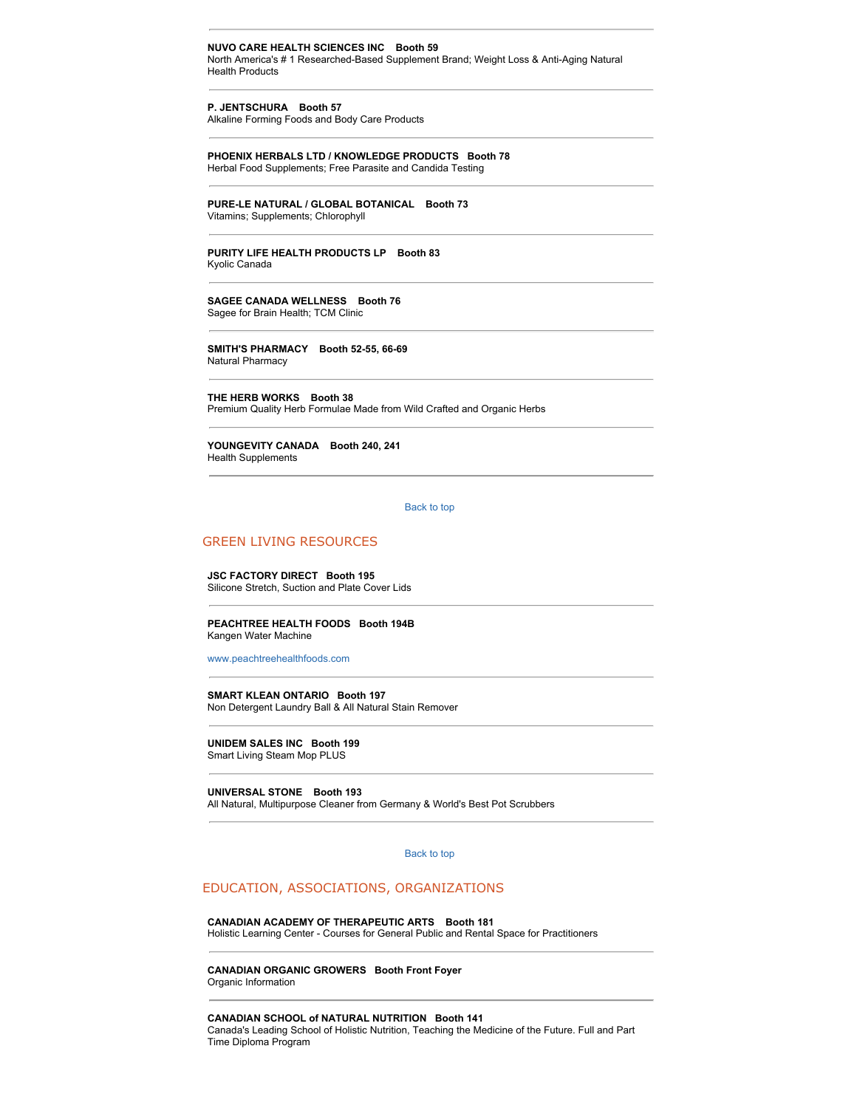#### **NUVO CARE HEALTH SCIENCES INC Booth 59** North America's # 1 Researched-Based Supplement Brand; Weight Loss & Anti-Aging Natural Health Products

**P. JENTSCHURA Booth 57**

Alkaline Forming Foods and Body Care Products

**PHOENIX HERBALS LTD / KNOWLEDGE PRODUCTS Booth 78** Herbal Food Supplements; Free Parasite and Candida Testing

**PURE-LE NATURAL / GLOBAL BOTANICAL Booth 73** Vitamins; Supplements; Chlorophyll

**PURITY LIFE HEALTH PRODUCTS LP Booth 83** Kyolic Canada

**SAGEE CANADA WELLNESS Booth 76** Sagee for Brain Health; TCM Clinic

**SMITH'S PHARMACY Booth 52-55, 66-69** Natural Pharmacy

**THE HERB WORKS Booth 38** Premium Quality Herb Formulae Made from Wild Crafted and Organic Herbs

**YOUNGEVITY CANADA Booth 240, 241** Health Supplements

[Back to top](http://www.wholelifeexpo.ca/exhibitors.php#top) 

## GREEN LIVING RESOURCES

**JSC FACTORY DIRECT Booth 195** Silicone Stretch, Suction and Plate Cover Lids

**PEACHTREE HEALTH FOODS Booth 194B** Kangen Water Machine

[www.peachtreehealthfoods.com](http://www.peachtreehealthfoods.com/)

**SMART KLEAN ONTARIO Booth 197** Non Detergent Laundry Ball & All Natural Stain Remover

**UNIDEM SALES INC Booth 199**

Smart Living Steam Mop PLUS

**UNIVERSAL STONE Booth 193** All Natural, Multipurpose Cleaner from Germany & World's Best Pot Scrubbers

[Back to top](http://www.wholelifeexpo.ca/exhibitors.php#top) 

# EDUCATION, ASSOCIATIONS, ORGANIZATIONS

**CANADIAN ACADEMY OF THERAPEUTIC ARTS Booth 181** Holistic Learning Center - Courses for General Public and Rental Space for Practitioners

**CANADIAN ORGANIC GROWERS Booth Front Foyer** Organic Information

**CANADIAN SCHOOL of NATURAL NUTRITION Booth 141** Canada's Leading School of Holistic Nutrition, Teaching the Medicine of the Future. Full and Part Time Diploma Program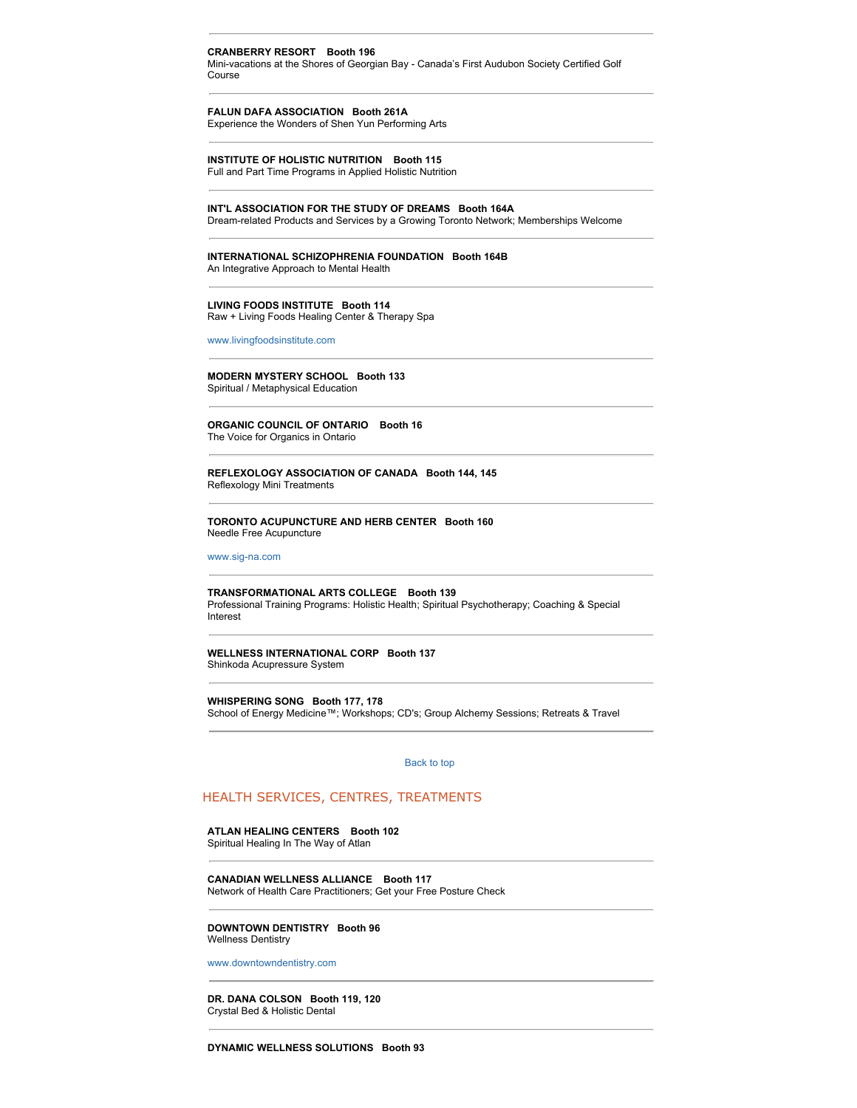#### **CRANBERRY RESORT Booth 196**

Mini-vacations at the Shores of Georgian Bay - Canada's First Audubon Society Certified Golf Course

#### **FALUN DAFA ASSOCIATION Booth 261A** Experience the Wonders of Shen Yun Performing Arts

**INSTITUTE OF HOLISTIC NUTRITION Booth 115** Full and Part Time Programs in Applied Holistic Nutrition

#### **INT'L ASSOCIATION FOR THE STUDY OF DREAMS Booth 164A**

Dream-related Products and Services by a Growing Toronto Network; Memberships Welcome

# **INTERNATIONAL SCHIZOPHRENIA FOUNDATION Booth 164B**

An Integrative Approach to Mental Health

#### **LIVING FOODS INSTITUTE Booth 114** Raw + Living Foods Healing Center & Therapy Spa

[www.livingfoodsinstitute.com](http://www.livingfoodsinstitute.com/)

#### **MODERN MYSTERY SCHOOL Booth 133** Spiritual / Metaphysical Education

**ORGANIC COUNCIL OF ONTARIO Booth 16** The Voice for Organics in Ontario

#### **REFLEXOLOGY ASSOCIATION OF CANADA Booth 144, 145** Reflexology Mini Treatments

**TORONTO ACUPUNCTURE AND HERB CENTER Booth 160**

Needle Free Acupuncture

[www.sig-na.com](http://www.sig-na.com/)

#### **TRANSFORMATIONAL ARTS COLLEGE Booth 139**

Professional Training Programs: Holistic Health; Spiritual Psychotherapy; Coaching & Special Interest

#### **WELLNESS INTERNATIONAL CORP Booth 137** Shinkoda Acupressure System

**WHISPERING SONG Booth 177, 178** School of Energy Medicine™; Workshops; CD's; Group Alchemy Sessions; Retreats & Travel

[Back to top](http://www.wholelifeexpo.ca/exhibitors.php#top) 

#### HEALTH SERVICES, CENTRES, TREATMENTS

# **ATLAN HEALING CENTERS Booth 102**

Spiritual Healing In The Way of Atlan

**CANADIAN WELLNESS ALLIANCE Booth 117** Network of Health Care Practitioners; Get your Free Posture Check

#### **DOWNTOWN DENTISTRY Booth 96** Wellness Dentistry

[www.downtowndentistry.com](http://www.downtowndentistry.com/)

**DR. DANA COLSON Booth 119, 120** Crystal Bed & Holistic Dental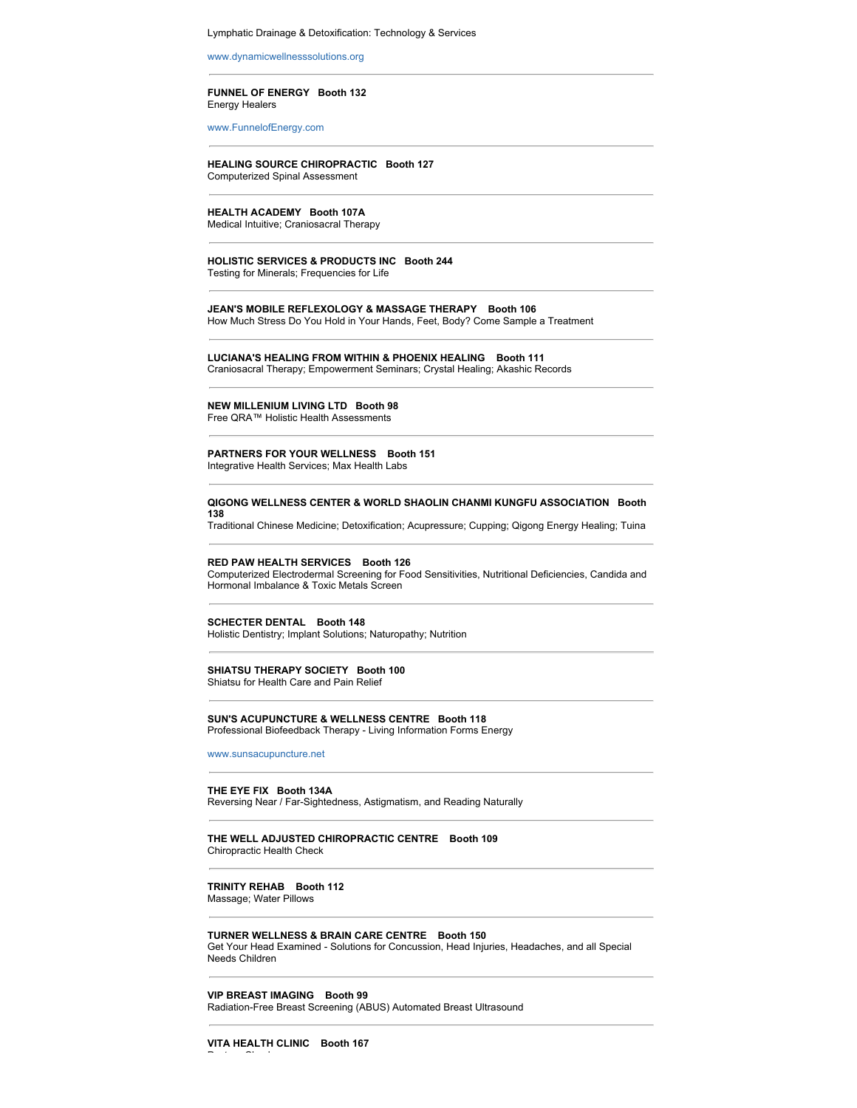#### Lymphatic Drainage & Detoxification: Technology & Services

[www.dynamicwellnesssolutions.org](http://www.dynamicwellnesssolutions.org/)

#### **FUNNEL OF ENERGY Booth 132** Energy Healers

[www.FunnelofEnergy.com](http://www.FunnelofEnergy.com/)

#### **HEALING SOURCE CHIROPRACTIC Booth 127** Computerized Spinal Assessment

#### **HEALTH ACADEMY Booth 107A** Medical Intuitive; Craniosacral Therapy

#### **HOLISTIC SERVICES & PRODUCTS INC Booth 244** Testing for Minerals; Frequencies for Life

#### **JEAN'S MOBILE REFLEXOLOGY & MASSAGE THERAPY Booth 106** How Much Stress Do You Hold in Your Hands, Feet, Body? Come Sample a Treatment

**LUCIANA'S HEALING FROM WITHIN & PHOENIX HEALING Booth 111** Craniosacral Therapy; Empowerment Seminars; Crystal Healing; Akashic Records

# **NEW MILLENIUM LIVING LTD Booth 98**

Free QRA™ Holistic Health Assessments

#### **PARTNERS FOR YOUR WELLNESS Booth 151**

Integrative Health Services; Max Health Labs

#### **QIGONG WELLNESS CENTER & WORLD SHAOLIN CHANMI KUNGFU ASSOCIATION Booth 138**

Traditional Chinese Medicine; Detoxification; Acupressure; Cupping; Qigong Energy Healing; Tuina

#### **RED PAW HEALTH SERVICES Booth 126**

Computerized Electrodermal Screening for Food Sensitivities, Nutritional Deficiencies, Candida and Hormonal Imbalance & Toxic Metals Screen

#### **SCHECTER DENTAL Booth 148**

Holistic Dentistry; Implant Solutions; Naturopathy; Nutrition

#### **SHIATSU THERAPY SOCIETY Booth 100** Shiatsu for Health Care and Pain Relief

# **SUN'S ACUPUNCTURE & WELLNESS CENTRE Booth 118**

Professional Biofeedback Therapy - Living Information Forms Energy

[www.sunsacupuncture.net](http://www.sunsacupuncture.net/)

## **THE EYE FIX Booth 134A**

Reversing Near / Far-Sightedness, Astigmatism, and Reading Naturally

#### **THE WELL ADJUSTED CHIROPRACTIC CENTRE Booth 109** Chiropractic Health Check

#### **TRINITY REHAB Booth 112** Massage; Water Pillows

**TURNER WELLNESS & BRAIN CARE CENTRE Booth 150** Get Your Head Examined - Solutions for Concussion, Head Injuries, Headaches, and all Special Needs Children

# **VIP BREAST IMAGING Booth 99**

Radiation-Free Breast Screening (ABUS) Automated Breast Ultrasound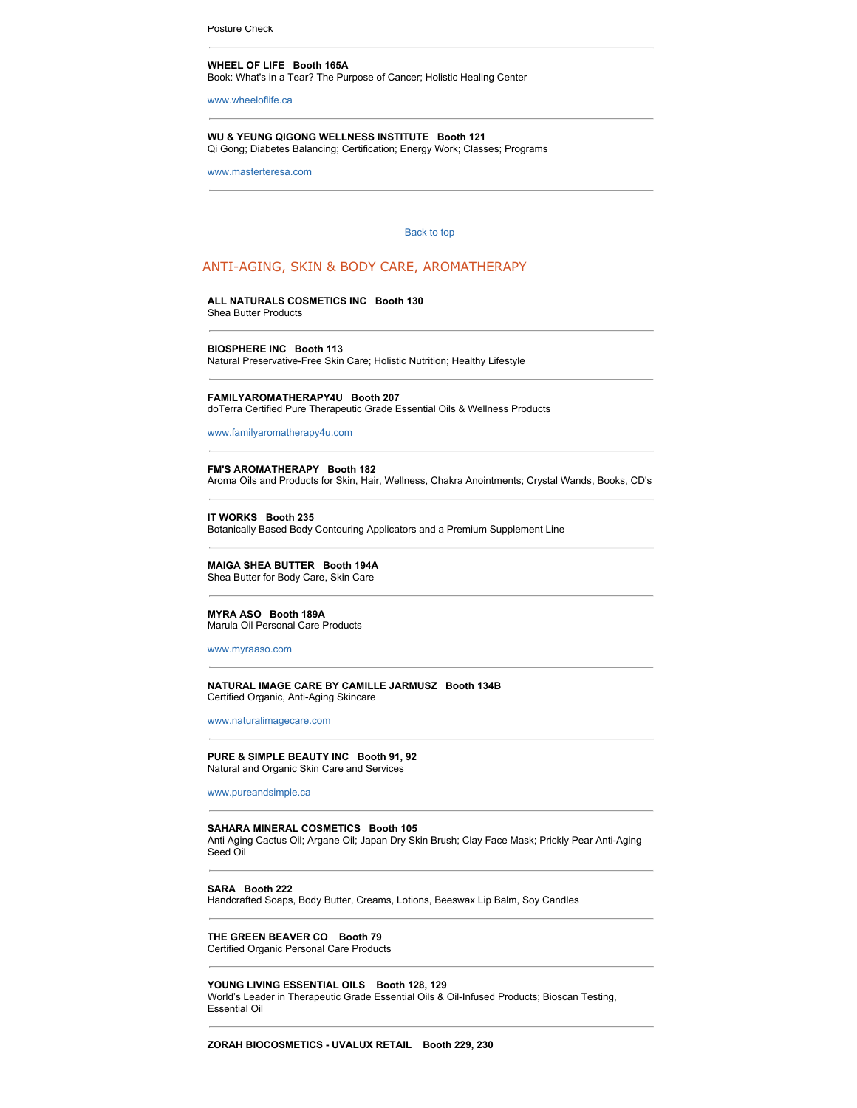Posture Check

#### **WHEEL OF LIFE Booth 165A**

Book: What's in a Tear? The Purpose of Cancer; Holistic Healing Center

[www.wheeloflife.ca](http://www.wheeloflife.ca/)

#### **WU & YEUNG QIGONG WELLNESS INSTITUTE Booth 121** Qi Gong; Diabetes Balancing; Certification; Energy Work; Classes; Programs

[www.masterteresa.com](http://www.masterteresa.com/)

#### [Back to top](http://www.wholelifeexpo.ca/exhibitors.php#top)

#### ANTI-AGING, SKIN & BODY CARE, AROMATHERAPY

# **ALL NATURALS COSMETICS INC Booth 130**

Shea Butter Products

**BIOSPHERE INC Booth 113**

Natural Preservative-Free Skin Care; Holistic Nutrition; Healthy Lifestyle

**FAMILYAROMATHERAPY4U Booth 207** doTerra Certified Pure Therapeutic Grade Essential Oils & Wellness Products

[www.familyaromatherapy4u.com](http://www.familyaromatherapy4u.com/)

#### **FM'S AROMATHERAPY Booth 182** Aroma Oils and Products for Skin, Hair, Wellness, Chakra Anointments; Crystal Wands, Books, CD's

**IT WORKS Booth 235** Botanically Based Body Contouring Applicators and a Premium Supplement Line

# **MAIGA SHEA BUTTER Booth 194A**

Shea Butter for Body Care, Skin Care

#### **MYRA ASO Booth 189A**

Marula Oil Personal Care Products

[www.myraaso.com](http://www.myraaso.com/)

#### **NATURAL IMAGE CARE BY CAMILLE JARMUSZ Booth 134B** Certified Organic, Anti-Aging Skincare

[www.naturalimagecare.com](http://www.naturalimagecare.com/)

# **PURE & SIMPLE BEAUTY INC Booth 91, 92**

Natural and Organic Skin Care and Services

[www.pureandsimple.ca](http://www.pureandsimple.ca/)

#### **SAHARA MINERAL COSMETICS Booth 105**

Anti Aging Cactus Oil; Argane Oil; Japan Dry Skin Brush; Clay Face Mask; Prickly Pear Anti-Aging Seed Oil

#### **SARA Booth 222**

Handcrafted Soaps, Body Butter, Creams, Lotions, Beeswax Lip Balm, Soy Candles

#### **THE GREEN BEAVER CO Booth 79**

Certified Organic Personal Care Products

#### **YOUNG LIVING ESSENTIAL OILS Booth 128, 129**

World's Leader in Therapeutic Grade Essential Oils & Oil-Infused Products; Bioscan Testing, Essential Oil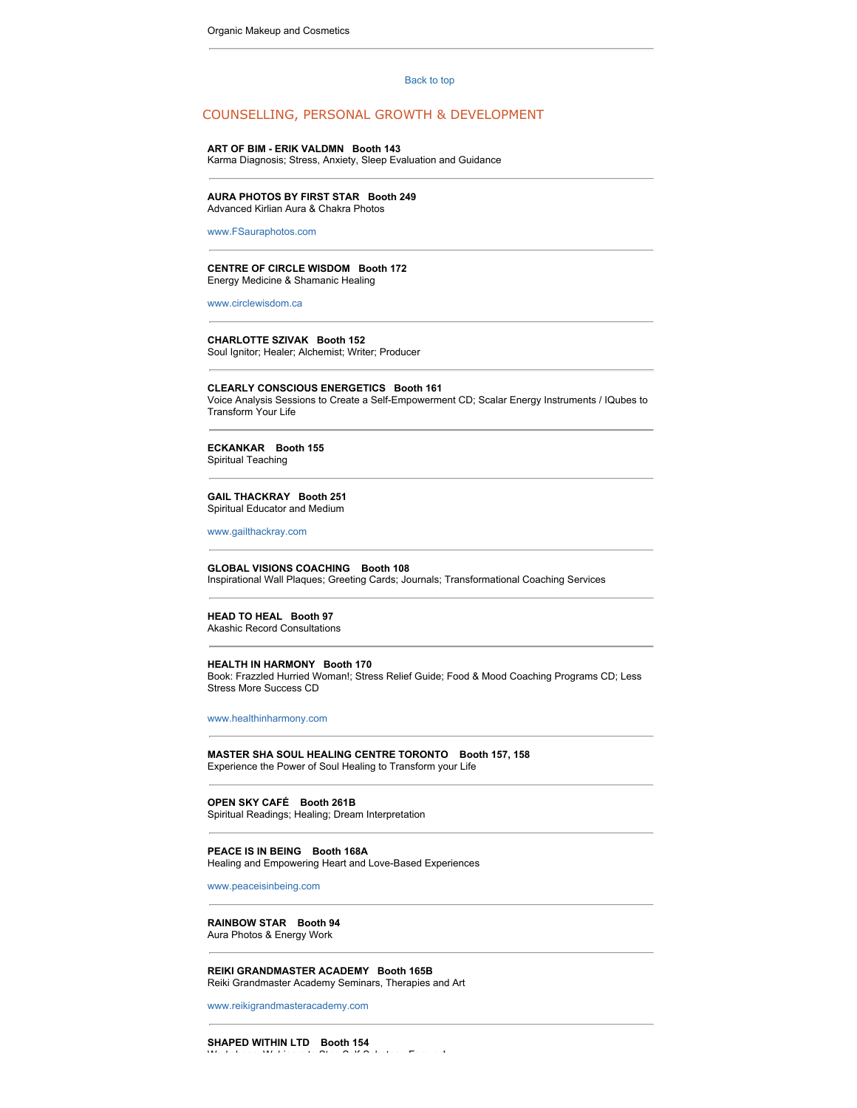#### [Back to top](http://www.wholelifeexpo.ca/exhibitors.php#top)

#### COUNSELLING, PERSONAL GROWTH & DEVELOPMENT

#### **ART OF BIM - ERIK VALDMN Booth 143**

Karma Diagnosis; Stress, Anxiety, Sleep Evaluation and Guidance

# **AURA PHOTOS BY FIRST STAR Booth 249**

Advanced Kirlian Aura & Chakra Photos

[www.FSauraphotos.com](http://www.FSauraphotos.com/)

#### **CENTRE OF CIRCLE WISDOM Booth 172** Energy Medicine & Shamanic Healing

[www.circlewisdom.ca](http://www.circlewisdom.ca/)

#### **CHARLOTTE SZIVAK Booth 152**

Soul Ignitor; Healer; Alchemist; Writer; Producer

#### **CLEARLY CONSCIOUS ENERGETICS Booth 161**

Voice Analysis Sessions to Create a Self-Empowerment CD; Scalar Energy Instruments / IQubes to Transform Your Life

**ECKANKAR Booth 155** Spiritual Teaching

#### **GAIL THACKRAY Booth 251** Spiritual Educator and Medium

[www.gailthackray.com](http://www.gailthackray.com/)

#### **GLOBAL VISIONS COACHING Booth 108**

Inspirational Wall Plaques; Greeting Cards; Journals; Transformational Coaching Services

# **HEAD TO HEAL Booth 97**

Akashic Record Consultations

#### **HEALTH IN HARMONY Booth 170**

Book: Frazzled Hurried Woman!; Stress Relief Guide; Food & Mood Coaching Programs CD; Less Stress More Success CD

[www.healthinharmony.com](http://www.healthinharmony.com/)

#### **MASTER SHA SOUL HEALING CENTRE TORONTO Booth 157, 158** Experience the Power of Soul Healing to Transform your Life

## **OPEN SKY CAFÉ Booth 261B**

Spiritual Readings; Healing; Dream Interpretation

#### **PEACE IS IN BEING Booth 168A** Healing and Empowering Heart and Love-Based Experiences

[www.peaceisinbeing.com](http://www.peaceisinbeing.com/)

#### **RAINBOW STAR Booth 94** Aura Photos & Energy Work

#### **REIKI GRANDMASTER ACADEMY Booth 165B** Reiki Grandmaster Academy Seminars, Therapies and Art

[www.reikigrandmasteracademy.com](http://www.reikigrandmasteracademy.com/)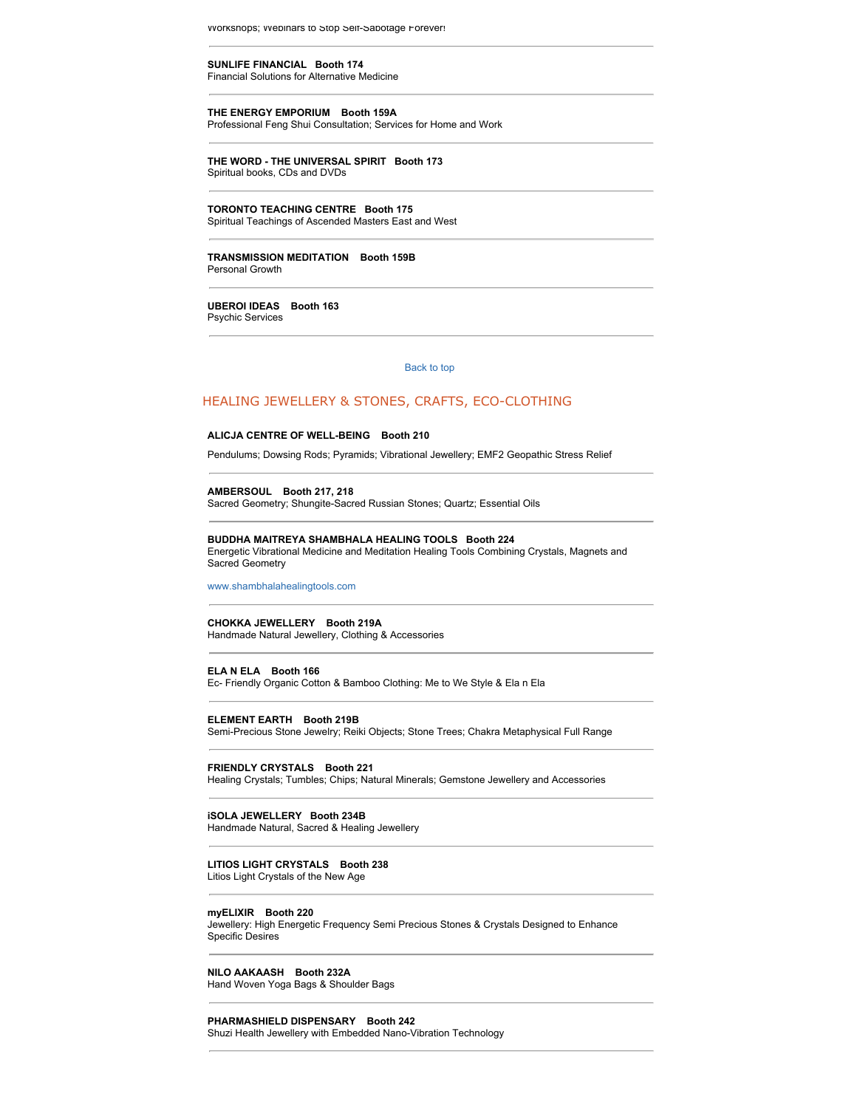vvorksnops; webinars to Stop Self-Sabotage Forever!

**SUNLIFE FINANCIAL Booth 174** Financial Solutions for Alternative Medicine

**THE ENERGY EMPORIUM Booth 159A** Professional Feng Shui Consultation; Services for Home and Work

**THE WORD - THE UNIVERSAL SPIRIT Booth 173** Spiritual books, CDs and DVDs

**TORONTO TEACHING CENTRE Booth 175** Spiritual Teachings of Ascended Masters East and West

**TRANSMISSION MEDITATION Booth 159B** Personal Growth

**UBEROI IDEAS Booth 163** Psychic Services

[Back to top](http://www.wholelifeexpo.ca/exhibitors.php#top) 

# HEALING JEWELLERY & STONES, CRAFTS, ECO-CLOTHING

#### **ALICJA CENTRE OF WELL-BEING Booth 210**

Pendulums; Dowsing Rods; Pyramids; Vibrational Jewellery; EMF2 Geopathic Stress Relief

**AMBERSOUL Booth 217, 218**

Sacred Geometry; Shungite-Sacred Russian Stones; Quartz; Essential Oils

#### **BUDDHA MAITREYA SHAMBHALA HEALING TOOLS Booth 224**

Energetic Vibrational Medicine and Meditation Healing Tools Combining Crystals, Magnets and Sacred Geometry

[www.shambhalahealingtools.com](http://www.shambhalahealingtools.com/)

# **CHOKKA JEWELLERY Booth 219A**

Handmade Natural Jewellery, Clothing & Accessories

**ELA N ELA Booth 166**

Ec- Friendly Organic Cotton & Bamboo Clothing: Me to We Style & Ela n Ela

**ELEMENT EARTH Booth 219B**

Semi-Precious Stone Jewelry; Reiki Objects; Stone Trees; Chakra Metaphysical Full Range

#### **FRIENDLY CRYSTALS Booth 221**

Healing Crystals; Tumbles; Chips; Natural Minerals; Gemstone Jewellery and Accessories

#### **iSOLA JEWELLERY Booth 234B**

Handmade Natural, Sacred & Healing Jewellery

#### **LITIOS LIGHT CRYSTALS Booth 238**

Litios Light Crystals of the New Age

#### **myELIXIR Booth 220**

Jewellery: High Energetic Frequency Semi Precious Stones & Crystals Designed to Enhance Specific Desires

**NILO AAKAASH Booth 232A** Hand Woven Yoga Bags & Shoulder Bags

#### **PHARMASHIELD DISPENSARY Booth 242**

Shuzi Health Jewellery with Embedded Nano-Vibration Technology